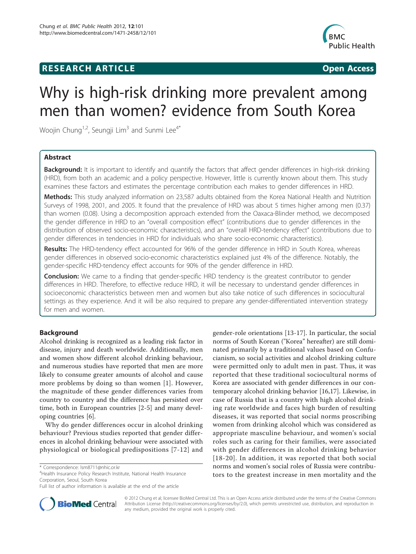## **RESEARCH ARTICLE Example 2018 Open Access**



# Why is high-risk drinking more prevalent among men than women? evidence from South Korea

Woojin Chung<sup>1,2</sup>, Seungji Lim<sup>3</sup> and Sunmi Lee<sup>4\*</sup>

## Abstract

Background: It is important to identify and quantify the factors that affect gender differences in high-risk drinking (HRD), from both an academic and a policy perspective. However, little is currently known about them. This study examines these factors and estimates the percentage contribution each makes to gender differences in HRD.

Methods: This study analyzed information on 23,587 adults obtained from the Korea National Health and Nutrition Surveys of 1998, 2001, and 2005. It found that the prevalence of HRD was about 5 times higher among men (0.37) than women (0.08). Using a decomposition approach extended from the Oaxaca-Blinder method, we decomposed the gender difference in HRD to an "overall composition effect" (contributions due to gender differences in the distribution of observed socio-economic characteristics), and an "overall HRD-tendency effect" (contributions due to gender differences in tendencies in HRD for individuals who share socio-economic characteristics).

Results: The HRD-tendency effect accounted for 96% of the gender difference in HRD in South Korea, whereas gender differences in observed socio-economic characteristics explained just 4% of the difference. Notably, the gender-specific HRD-tendency effect accounts for 90% of the gender difference in HRD.

**Conclusion:** We came to a finding that gender-specific HRD tendency is the greatest contributor to gender differences in HRD. Therefore, to effective reduce HRD, it will be necessary to understand gender differences in socioeconomic characteristics between men and women but also take notice of such differences in sociocultural settings as they experience. And it will be also required to prepare any gender-differentiated intervention strategy for men and women.

## Background

Alcohol drinking is recognized as a leading risk factor in disease, injury and death worldwide. Additionally, men and women show different alcohol drinking behaviour, and numerous studies have reported that men are more likely to consume greater amounts of alcohol and cause more problems by doing so than women [[1\]](#page-9-0). However, the magnitude of these gender differences varies from country to country and the difference has persisted over time, both in European countries [\[2](#page-9-0)-[5\]](#page-9-0) and many developing countries [[6\]](#page-9-0).

Why do gender differences occur in alcohol drinking behaviour? Previous studies reported that gender differences in alcohol drinking behaviour were associated with physiological or biological predispositions [[7-12](#page-9-0)] and

4 Health Insurance Policy Research Institute, National Health Insurance Corporation, Seoul, South Korea

gender-role orientations [[13-17](#page-9-0)]. In particular, the social norms of South Korean ("Korea" hereafter) are still dominated primarily by a traditional values based on Confucianism, so social activities and alcohol drinking culture were permitted only to adult men in past. Thus, it was reported that these traditional sociocultural norms of Korea are associated with gender differences in our contemporary alcohol drinking behavior [[16](#page-9-0),[17](#page-9-0)]. Likewise, in case of Russia that is a country with high alcohol drinking rate worldwide and faces high burden of resulting diseases, it was reported that social norms proscribing women from drinking alcohol which was considered as appropriate masculine behaviour, and women's social roles such as caring for their families, were associated with gender differences in alcohol drinking behavior [[18-20\]](#page-9-0). In addition, it was reported that both social norms and women's social roles of Russia were contributors to the greatest increase in men mortality and the



© 2012 Chung et al; licensee BioMed Central Ltd. This is an Open Access article distributed under the terms of the Creative Commons Attribution License [\(http://creativecommons.org/licenses/by/2.0](http://creativecommons.org/licenses/by/2.0)), which permits unrestricted use, distribution, and reproduction in any medium, provided the original work is properly cited.

<sup>\*</sup> Correspondence: [lsm8711@nhic.or.kr](mailto:lsm8711@nhic.or.kr)

Full list of author information is available at the end of the article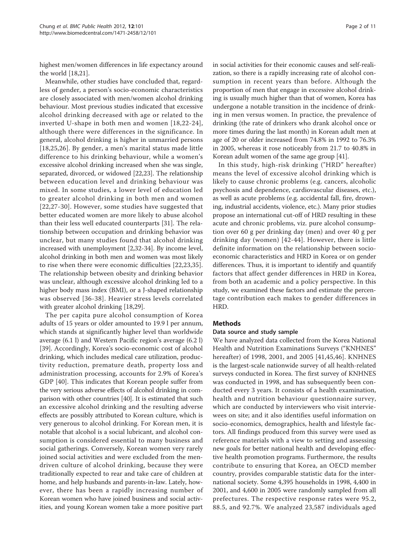highest men/women differences in life expectancy around the world [\[18,21](#page-9-0)].

Meanwhile, other studies have concluded that, regardless of gender, a person's socio-economic characteristics are closely associated with men/women alcohol drinking behaviour. Most previous studies indicated that excessive alcohol drinking decreased with age or related to the inverted U-shape in both men and women [[18,22-24\]](#page-9-0), although there were differences in the significance. In general, alcohol drinking is higher in unmarried persons [[18,25](#page-9-0),[26\]](#page-9-0). By gender, a men's marital status made little difference to his drinking behaviour, while a women's excessive alcohol drinking increased when she was single, separated, divorced, or widowed [[22](#page-9-0),[23](#page-9-0)]. The relationship between education level and drinking behaviour was mixed. In some studies, a lower level of education led to greater alcohol drinking in both men and women [[22](#page-9-0),[27-](#page-9-0)[30\]](#page-10-0). However, some studies have suggested that better educated women are more likely to abuse alcohol than their less well educated counterparts [[31](#page-10-0)]. The relationship between occupation and drinking behavior was unclear, but many studies found that alcohol drinking increased with unemployment [[2,](#page-9-0)[32-34](#page-10-0)]. By income level, alcohol drinking in both men and women was most likely to rise when there were economic difficulties [[22,23,](#page-9-0)[35](#page-10-0)]. The relationship between obesity and drinking behavior was unclear, although excessive alcohol drinking led to a higher body mass index (BMI), or a J-shaped relationship was observed [[36-38\]](#page-10-0). Heavier stress levels correlated with greater alcohol drinking [\[18](#page-9-0)[,29](#page-10-0)].

The per capita pure alcohol consumption of Korea adults of 15 years or older amounted to 19.9 l per annum, which stands at significantly higher level than worldwide average (6.1 l) and Western Pacific region's average (6.2 l) [[39\]](#page-10-0). Accordingly, Korea's socio-economic cost of alcohol drinking, which includes medical care utilization, productivity reduction, premature death, property loss and administration processing, accounts for 2.9% of Korea's GDP [[40\]](#page-10-0). This indicates that Korean people suffer from the very serious adverse effects of alcohol drinking in comparison with other countries [\[40](#page-10-0)]. It is estimated that such an excessive alcohol drinking and the resulting adverse effects are possibly attributed to Korean culture, which is very generous to alcohol drinking. For Korean men, it is notable that alcohol is a social lubricant, and alcohol consumption is considered essential to many business and social gatherings. Conversely, Korean women very rarely joined social activities and were excluded from the mendriven culture of alcohol drinking, because they were traditionally expected to rear and take care of children at home, and help husbands and parents-in-law. Lately, however, there has been a rapidly increasing number of Korean women who have joined business and social activities, and young Korean women take a more positive part in social activities for their economic causes and self-realization, so there is a rapidly increasing rate of alcohol consumption in recent years than before. Although the proportion of men that engage in excessive alcohol drinking is usually much higher than that of women, Korea has undergone a notable transition in the incidence of drinking in men versus women. In practice, the prevalence of drinking (the rate of drinkers who drank alcohol once or more times during the last month) in Korean adult men at age of 20 or older increased from 74.8% in 1992 to 76.3% in 2005, whereas it rose noticeably from 21.7 to 40.8% in Korean adult women of the same age group [[41](#page-10-0)].

In this study, high-risk drinking ("HRD" hereafter) means the level of excessive alcohol drinking which is likely to cause chronic problems (e.g. cancers, alcoholic psychosis and dependence, cardiovascular diseases, etc.), as well as acute problems (e.g. accidental fall, fire, drowning, industrial accidents, violence, etc.). Many prior studies propose an international cut-off of HRD resulting in these acute and chronic problems, viz. pure alcohol consumption over 60 g per drinking day (men) and over 40 g per drinking day (women) [[42-44](#page-10-0)]. However, there is little definite information on the relationship between socioeconomic characteristics and HRD in Korea or on gender differences. Thus, it is important to identify and quantify factors that affect gender differences in HRD in Korea, from both an academic and a policy perspective. In this study, we examined these factors and estimate the percentage contribution each makes to gender differences in HRD.

#### Methods

#### Data source and study sample

We have analyzed data collected from the Korea National Health and Nutrition Examinations Surveys ("KNHNES" hereafter) of 1998, 2001, and 2005 [[41,45,46\]](#page-10-0). KNHNES is the largest-scale nationwide survey of all health-related surveys conducted in Korea. The first survey of KNHNES was conducted in 1998, and has subsequently been conducted every 3 years. It consists of a health examination, health and nutrition behaviour questionnaire survey, which are conducted by interviewers who visit interviewees on site; and it also identifies useful information on socio-economics, demographics, health and lifestyle factors. All findings produced from this survey were used as reference materials with a view to setting and assessing new goals for better national health and developing effective health promotion programs. Furthermore, the results contribute to ensuring that Korea, an OECD member country, provides comparable statistic data for the international society. Some 4,395 households in 1998, 4,400 in 2001, and 4,600 in 2005 were randomly sampled from all prefectures. The respective response rates were 95.2, 88.5, and 92.7%. We analyzed 23,587 individuals aged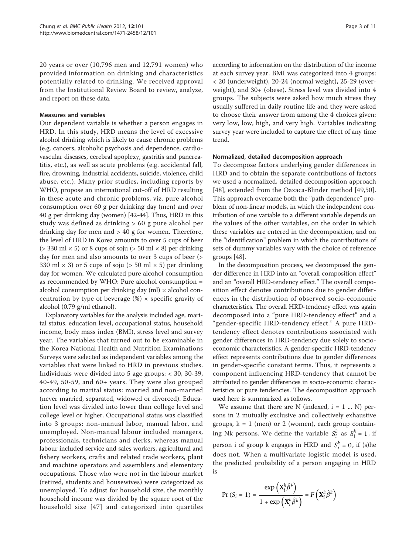20 years or over (10,796 men and 12,791 women) who provided information on drinking and characteristics potentially related to drinking. We received approval from the Institutional Review Board to review, analyze, and report on these data.

#### Measures and variables

Our dependent variable is whether a person engages in HRD. In this study, HRD means the level of excessive alcohol drinking which is likely to cause chronic problems (e.g. cancers, alcoholic psychosis and dependence, cardiovascular diseases, cerebral apoplexy, gastritis and pancreatitis, etc.), as well as acute problems (e.g. accidental fall, fire, drowning, industrial accidents, suicide, violence, child abuse, etc.). Many prior studies, including reports by WHO, propose an international cut-off of HRD resulting in these acute and chronic problems, viz. pure alcohol consumption over 60 g per drinking day (men) and over 40 g per drinking day (women) [\[42-44](#page-10-0)]. Thus, HRD in this study was defined as drinking > 60 g pure alcohol per drinking day for men and > 40 g for women. Therefore, the level of HRD in Korea amounts to over 5 cups of beer ( $>$  330 ml  $\times$  5) or 8 cups of soju ( $>$  50 ml  $\times$  8) per drinking day for men and also amounts to over 3 cups of beer (> 330 ml  $\times$  3) or 5 cups of soju ( $>$  50 ml  $\times$  5) per drinking day for women. We calculated pure alcohol consumption as recommended by WHO: Pure alcohol consumption = alcohol consumption per drinking day (ml)  $\times$  alcohol concentration by type of beverage  $%$   $\times$  specific gravity of alcohol (0.79 g/ml ethanol).

Explanatory variables for the analysis included age, marital status, education level, occupational status, household income, body mass index (BMI), stress level and survey year. The variables that turned out to be examinable in the Korea National Health and Nutrition Examinations Surveys were selected as independent variables among the variables that were linked to HRD in previous studies. Individuals were divided into 5 age groups: < 30, 30-39, 40-49, 50-59, and 60+ years. They were also grouped according to marital status: married and non-married (never married, separated, widowed or divorced). Education level was divided into lower than college level and college level or higher. Occupational status was classified into 3 groups: non-manual labor, manual labor, and unemployed. Non-manual labour included managers, professionals, technicians and clerks, whereas manual labour included service and sales workers, agricultural and fishery workers, crafts and related trade workers, plant and machine operators and assemblers and elementary occupations. Those who were not in the labour market (retired, students and housewives) were categorized as unemployed. To adjust for household size, the monthly household income was divided by the square root of the household size [[47](#page-10-0)] and categorized into quartiles according to information on the distribution of the income at each survey year. BMI was categorized into 4 groups: < 20 (underweight), 20-24 (normal weight), 25-29 (overweight), and 30+ (obese). Stress level was divided into 4 groups. The subjects were asked how much stress they usually suffered in daily routine life and they were asked to choose their answer from among the 4 choices given: very low, low, high, and very high. Variables indicating survey year were included to capture the effect of any time trend.

#### Normalized, detailed decomposition approach

To decompose factors underlying gender differences in HRD and to obtain the separate contributions of factors we used a normalized, detailed decomposition approach [[48\]](#page-10-0), extended from the Oaxaca-Blinder method [\[49,50](#page-10-0)]. This approach overcame both the "path dependence" problem of non-linear models, in which the independent contribution of one variable to a different variable depends on the values of the other variables, on the order in which these variables are entered in the decomposition, and on the "identification" problem in which the contributions of sets of dummy variables vary with the choice of reference groups [[48](#page-10-0)].

In the decomposition process, we decomposed the gender difference in HRD into an "overall composition effect" and an "overall HRD-tendency effect." The overall composition effect denotes contributions due to gender differences in the distribution of observed socio-economic characteristics. The overall HRD-tendency effect was again decomposed into a "pure HRD-tendency effect" and a "gender-specific HRD-tendency effect." A pure HRDtendency effect denotes contributions associated with gender differences in HRD-tendency due solely to socioeconomic characteristics. A gender-specific HRD-tendency effect represents contributions due to gender differences in gender-specific constant terms. Thus, it represents a component influencing HRD-tendency that cannot be attributed to gender differences in socio-economic characteristics or pure tendencies. The decomposition approach used here is summarized as follows.

We assume that there are N (indexed,  $i = 1$  ... N) persons in 2 mutually exclusive and collectively exhaustive groups,  $k = 1$  (men) or 2 (women), each group containing Nk persons. We define the variable  $S_i^k$  as  $S_i^k = 1$ , if person i of group k engages in HRD and  $S_i^k = 0$ , if (s)he does not. When a multivariate logistic model is used, the predicted probability of a person engaging in HRD is

$$
\Pr\left(S_{i}=1\right)=\frac{\exp\left(\mathbf{X}_{i}^{k}\hat{\beta}^{k}\right)}{1+\exp\left(\mathbf{X}_{i}^{k}\hat{\beta}^{k}\right)}=F\left(\mathbf{X}_{i}^{k}\hat{\beta}^{k}\right)
$$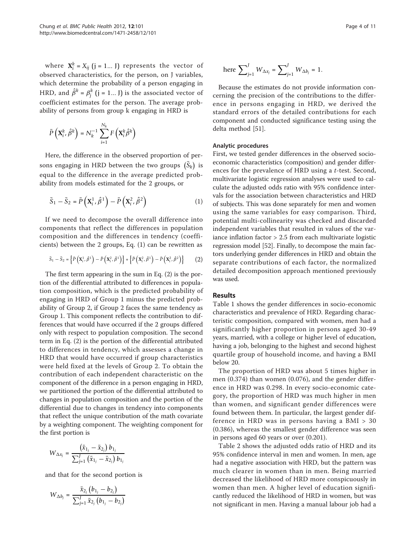where  $\mathbf{X}_i^k = X_{ij}$  (j = 1... J) represents the vector of observed characteristics, for the person, on J variables, which determine the probability of a person engaging in HRD, and  $\hat{\beta}^k = \beta_j^k$  (j = 1... J) is the associated vector of coefficient estimates for the person. The average probability of persons from group k engaging in HRD is

$$
\bar{P}\left(\mathbf{X}_{i}^{k}, \hat{\beta}^{k}\right) = N_{k}^{-1} \sum_{i=1}^{N_{k}} F\left(\mathbf{X}_{i}^{k} \hat{\beta}^{k}\right)
$$

Here, the difference in the observed proportion of persons engaging in HRD between the two groups  $\left(\bar{S}_k\right)$  is equal to the difference in the average predicted probability from models estimated for the 2 groups, or

$$
\bar{S}_1 - \bar{S}_2 = \bar{P}\left(X_i^1, \hat{\beta}^1\right) - \bar{P}\left(X_i^2, \hat{\beta}^2\right)
$$
 (1)

If we need to decompose the overall difference into components that reflect the differences in population composition and the differences in tendency (coefficients) between the 2 groups, Eq. (1) can be rewritten as

$$
\bar{S}_1 - \bar{S}_2 = \left\{ \bar{P} \left( \mathbf{X}_i^1, \hat{\beta}^1 \right) - \bar{P} \left( \mathbf{X}_i^2, \hat{\beta}^1 \right) \right\} + \left\{ \bar{P} \left( \mathbf{X}_i^2, \hat{\beta}^1 \right) - \bar{P} \left( \mathbf{X}_i^2, \hat{\beta}^2 \right) \right\} \tag{2}
$$

The first term appearing in the sum in Eq. (2) is the portion of the differential attributed to differences in population composition, which is the predicted probability of engaging in HRD of Group 1 minus the predicted probability of Group 2, if Group 2 faces the same tendency as Group 1. This component reflects the contribution to differences that would have occurred if the 2 groups differed only with respect to population composition. The second term in Eq. (2) is the portion of the differential attributed to differences in tendency, which assesses a change in HRD that would have occurred if group characteristics were held fixed at the levels of Group 2. To obtain the contribution of each independent characteristic on the component of the difference in a person engaging in HRD, we partitioned the portion of the differential attributed to changes in population composition and the portion of the differential due to changes in tendency into components that reflect the unique contribution of the math covariate by a weighting component. The weighting component for the first portion is

$$
W_{\Delta x_j} = \frac{\left(\bar{x}_{1_j} - \bar{x}_{2_j}\right) b_{1_j}}{\sum_{j=1}^J \left(\bar{x}_{1_j} - \bar{x}_{2_j}\right) b_{1_j}}
$$

and that for the second portion is

$$
W_{\Delta b_j} = \frac{\bar{x}_{2_j} (b_{1_j} - b_{2_j})}{\sum_{j=1}^J \bar{x}_{2_j} (b_{1_j} - b_{2_j})}
$$

here 
$$
\sum_{j=1}^{J} W_{\Delta x_j} = \sum_{j=1}^{J} W_{\Delta b_j} = 1.
$$

Because the estimates do not provide information concerning the precision of the contributions to the difference in persons engaging in HRD, we derived the standard errors of the detailed contributions for each component and conducted significance testing using the delta method [\[51\]](#page-10-0).

#### Analytic procedures

First, we tested gender differences in the observed socioeconomic characteristics (composition) and gender differences for the prevalence of HRD using a t-test. Second, multivariate logistic regression analyses were used to calculate the adjusted odds ratio with 95% confidence intervals for the association between characteristics and HRD of subjects. This was done separately for men and women using the same variables for easy comparison. Third, potential multi-collinearity was checked and discarded independent variables that resulted in values of the variance inflation factor > 2.5 from each multivariate logistic regression model [[52](#page-10-0)]. Finally, to decompose the main factors underlying gender differences in HRD and obtain the separate contributions of each factor, the normalized detailed decomposition approach mentioned previously was used.

## Results

Table [1](#page-4-0) shows the gender differences in socio-economic characteristics and prevalence of HRD. Regarding characteristic composition, compared with women, men had a significantly higher proportion in persons aged 30-49 years, married, with a college or higher level of education, having a job, belonging to the highest and second highest quartile group of household income, and having a BMI below 20.

The proportion of HRD was about 5 times higher in men (0.374) than women (0.076), and the gender difference in HRD was 0.298. In every socio-economic category, the proportion of HRD was much higher in men than women, and significant gender differences were found between them. In particular, the largest gender difference in HRD was in persons having a BMI > 30 (0.386), whereas the smallest gender difference was seen in persons aged 60 years or over (0.201).

Table [2](#page-5-0) shows the adjusted odds ratio of HRD and its 95% confidence interval in men and women. In men, age had a negative association with HRD, but the pattern was much clearer in women than in men. Being married decreased the likelihood of HRD more conspicuously in women than men. A higher level of education significantly reduced the likelihood of HRD in women, but was not significant in men. Having a manual labour job had a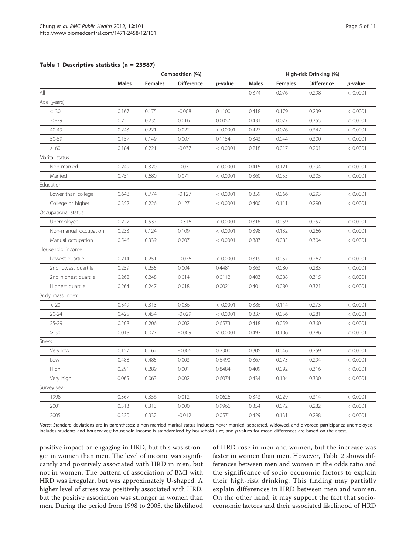#### <span id="page-4-0"></span>Table 1 Descriptive statistics (n = 23587)

|                       | Composition (%) |                |                   |          | High-risk Drinking (%) |                |                   |          |  |
|-----------------------|-----------------|----------------|-------------------|----------|------------------------|----------------|-------------------|----------|--|
|                       | <b>Males</b>    | <b>Females</b> | <b>Difference</b> | p-value  | <b>Males</b>           | <b>Females</b> | <b>Difference</b> | p-value  |  |
| ail                   |                 |                |                   |          | 0.374                  | 0.076          | 0.298             | < 0.0001 |  |
| Age (years)           |                 |                |                   |          |                        |                |                   |          |  |
| < 30                  | 0.167           | 0.175          | $-0.008$          | 0.1100   | 0.418                  | 0.179          | 0.239             | < 0.0001 |  |
| 30-39                 | 0.251           | 0.235          | 0.016             | 0.0057   | 0.431                  | 0.077          | 0.355             | < 0.0001 |  |
| 40-49                 | 0.243           | 0.221          | 0.022             | < 0.0001 | 0.423                  | 0.076          | 0.347             | < 0.0001 |  |
| 50-59                 | 0.157           | 0.149          | 0.007             | 0.1154   | 0.343                  | 0.044          | 0.300             | < 0.0001 |  |
| $\geq 60$             | 0.184           | 0.221          | $-0.037$          | < 0.0001 | 0.218                  | 0.017          | 0.201             | < 0.0001 |  |
| Marital status        |                 |                |                   |          |                        |                |                   |          |  |
| Non-married           | 0.249           | 0.320          | $-0.071$          | < 0.0001 | 0.415                  | 0.121          | 0.294             | < 0.0001 |  |
| Married               | 0.751           | 0.680          | 0.071             | < 0.0001 | 0.360                  | 0.055          | 0.305             | < 0.0001 |  |
| Education             |                 |                |                   |          |                        |                |                   |          |  |
| Lower than college    | 0.648           | 0.774          | $-0.127$          | < 0.0001 | 0.359                  | 0.066          | 0.293             | < 0.0001 |  |
| College or higher     | 0.352           | 0.226          | 0.127             | < 0.0001 | 0.400                  | 0.111          | 0.290             | < 0.0001 |  |
| Occupational status   |                 |                |                   |          |                        |                |                   |          |  |
| Unemployed            | 0.222           | 0.537          | $-0.316$          | < 0.0001 | 0.316                  | 0.059          | 0.257             | < 0.0001 |  |
| Non-manual occupation | 0.233           | 0.124          | 0.109             | < 0.0001 | 0.398                  | 0.132          | 0.266             | < 0.0001 |  |
| Manual occupation     | 0.546           | 0.339          | 0.207             | < 0.0001 | 0.387                  | 0.083          | 0.304             | < 0.0001 |  |
| Household income      |                 |                |                   |          |                        |                |                   |          |  |
| Lowest quartile       | 0.214           | 0.251          | $-0.036$          | < 0.0001 | 0.319                  | 0.057          | 0.262             | < 0.0001 |  |
| 2nd lowest quartile   | 0.259           | 0.255          | 0.004             | 0.4481   | 0.363                  | 0.080          | 0.283             | < 0.0001 |  |
| 2nd highest quartile  | 0.262           | 0.248          | 0.014             | 0.0112   | 0.403                  | 0.088          | 0.315             | < 0.0001 |  |
| Highest quartile      | 0.264           | 0.247          | 0.018             | 0.0021   | 0.401                  | 0.080          | 0.321             | < 0.0001 |  |
| Body mass index       |                 |                |                   |          |                        |                |                   |          |  |
| < 20                  | 0.349           | 0.313          | 0.036             | < 0.0001 | 0.386                  | 0.114          | 0.273             | < 0.0001 |  |
| $20 - 24$             | 0.425           | 0.454          | $-0.029$          | < 0.0001 | 0.337                  | 0.056          | 0.281             | < 0.0001 |  |
| $25 - 29$             | 0.208           | 0.206          | 0.002             | 0.6573   | 0.418                  | 0.059          | 0.360             | < 0.0001 |  |
| $\geq 30$             | 0.018           | 0.027          | $-0.009$          | < 0.0001 | 0.492                  | 0.106          | 0.386             | < 0.0001 |  |
| <b>Stress</b>         |                 |                |                   |          |                        |                |                   |          |  |
| Very low              | 0.157           | 0.162          | $-0.006$          | 0.2300   | 0.305                  | 0.046          | 0.259             | < 0.0001 |  |
| Low                   | 0.488           | 0.485          | 0.003             | 0.6490   | 0.367                  | 0.073          | 0.294             | < 0.0001 |  |
| High                  | 0.291           | 0.289          | 0.001             | 0.8484   | 0.409                  | 0.092          | 0.316             | < 0.0001 |  |
| Very high             | 0.065           | 0.063          | 0.002             | 0.6074   | 0.434                  | 0.104          | 0.330             | < 0.0001 |  |
| Survey year           |                 |                |                   |          |                        |                |                   |          |  |
| 1998                  | 0.367           | 0.356          | 0.012             | 0.0626   | 0.343                  | 0.029          | 0.314             | < 0.0001 |  |
| 2001                  | 0.313           | 0.313          | 0.000             | 0.9966   | 0.354                  | 0.072          | 0.282             | < 0.0001 |  |
| 2005                  | 0.320           | 0.332          | $-0.012$          | 0.0571   | 0.429                  | 0.131          | 0.298             | < 0.0001 |  |

Notes: Standard deviations are in parentheses; a non-married marital status includes never-married, separated, widowed, and divorced participants; unemployed includes students and housewives; household income is standardized by household size; and p-values for mean differences are based on the t-test.

positive impact on engaging in HRD, but this was stronger in women than men. The level of income was significantly and positively associated with HRD in men, but not in women. The pattern of association of BMI with HRD was irregular, but was approximately U-shaped. A higher level of stress was positively associated with HRD, but the positive association was stronger in women than men. During the period from 1998 to 2005, the likelihood of HRD rose in men and women, but the increase was faster in women than men. However, Table [2](#page-5-0) shows differences between men and women in the odds ratio and the significance of socio-economic factors to explain their high-risk drinking. This finding may partially explain differences in HRD between men and women. On the other hand, it may support the fact that socioeconomic factors and their associated likelihood of HRD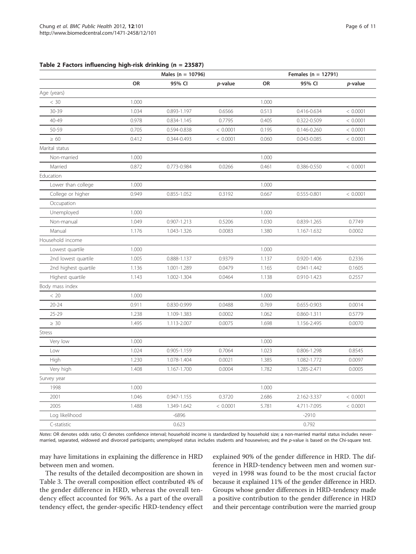<span id="page-5-0"></span>

| Table 2 Factors influencing high-risk drinking (n = 23587) |  |  |  |  |  |
|------------------------------------------------------------|--|--|--|--|--|
|------------------------------------------------------------|--|--|--|--|--|

|                      |       | Males ( $n = 10796$ ) |          |       | Females ( $n = 12791$ ) |          |  |  |  |
|----------------------|-------|-----------------------|----------|-------|-------------------------|----------|--|--|--|
|                      | OR    | 95% CI                | p-value  | OR    | 95% CI                  | p-value  |  |  |  |
| Age (years)          |       |                       |          |       |                         |          |  |  |  |
| < 30                 | 1.000 |                       |          | 1.000 |                         |          |  |  |  |
| $30 - 39$            | 1.034 | 0.893-1.197           | 0.6566   | 0.513 | 0.416-0.634             | < 0.0001 |  |  |  |
| 40-49                | 0.978 | 0.834-1.145           | 0.7795   | 0.405 | 0.322-0.509             | < 0.0001 |  |  |  |
| 50-59                | 0.705 | 0.594-0.838           | < 0.0001 | 0.195 | 0.146-0.260             | < 0.0001 |  |  |  |
| $\geq 60$            | 0.412 | 0.344-0.493           | < 0.0001 | 0.060 | 0.043-0.085             | < 0.0001 |  |  |  |
| Marital status       |       |                       |          |       |                         |          |  |  |  |
| Non-married          | 1.000 |                       |          | 1.000 |                         |          |  |  |  |
| Married              | 0.872 | 0.773-0.984           | 0.0266   | 0.461 | 0.386-0.550             | < 0.0001 |  |  |  |
| Education            |       |                       |          |       |                         |          |  |  |  |
| Lower than college   | 1.000 |                       |          | 1.000 |                         |          |  |  |  |
| College or higher    | 0.949 | 0.855-1.052           | 0.3192   | 0.667 | 0.555-0.801             | < 0.0001 |  |  |  |
| Occupation           |       |                       |          |       |                         |          |  |  |  |
| Unemployed           | 1.000 |                       |          | 1.000 |                         |          |  |  |  |
| Non-manual           | 1.049 | 0.907-1.213           | 0.5206   | 1.030 | 0.839-1.265             | 0.7749   |  |  |  |
| Manual               | 1.176 | 1.043-1.326           | 0.0083   | 1.380 | 1.167-1.632             | 0.0002   |  |  |  |
| Household income     |       |                       |          |       |                         |          |  |  |  |
| Lowest quartile      | 1.000 |                       |          | 1.000 |                         |          |  |  |  |
| 2nd lowest quartile  | 1.005 | 0.888-1.137           | 0.9379   | 1.137 | 0.920-1.406             | 0.2336   |  |  |  |
| 2nd highest quartile | 1.136 | 1.001-1.289           | 0.0479   | 1.165 | $0.941 - 1.442$         | 0.1605   |  |  |  |
| Highest quartile     | 1.143 | 1.002-1.304           | 0.0464   | 1.138 | 0.910-1.423             | 0.2557   |  |  |  |
| Body mass index      |       |                       |          |       |                         |          |  |  |  |
| < 20                 | 1.000 |                       |          | 1.000 |                         |          |  |  |  |
| $20 - 24$            | 0.911 | 0.830-0.999           | 0.0488   | 0.769 | 0.655-0.903             | 0.0014   |  |  |  |
| $25 - 29$            | 1.238 | 1.109-1.383           | 0.0002   | 1.062 | 0.860-1.311             | 0.5779   |  |  |  |
| $\geq 30$            | 1.495 | 1.113-2.007           | 0.0075   | 1.698 | 1.156-2.495             | 0.0070   |  |  |  |
| Stress               |       |                       |          |       |                         |          |  |  |  |
| Very low             | 1.000 |                       |          | 1.000 |                         |          |  |  |  |
| Low                  | 1.024 | 0.905-1.159           | 0.7064   | 1.023 | 0.806-1.298             | 0.8545   |  |  |  |
| High                 | 1.230 | 1.078-1.404           | 0.0021   | 1.385 | 1.082-1.772             | 0.0097   |  |  |  |
| Very high            | 1.408 | 1.167-1.700           | 0.0004   | 1.782 | 1.285-2.471             | 0.0005   |  |  |  |
| Survey year          |       |                       |          |       |                         |          |  |  |  |
| 1998                 | 1.000 |                       |          | 1.000 |                         |          |  |  |  |
| 2001                 | 1.046 | 0.947-1.155           | 0.3720   | 2.686 | 2.162-3.337             | < 0.0001 |  |  |  |
| 2005                 | 1.488 | 1.349-1.642           | < 0.0001 | 5.781 | 4.711-7.095             | < 0.0001 |  |  |  |
| Log likelihood       |       | -6896                 |          |       | $-2910$                 |          |  |  |  |
| C-statistic          |       | 0.623                 |          |       | 0.792                   |          |  |  |  |

Notes: OR denotes odds ratio; CI denotes confidence interval; household income is standardized by household size; a non-married marital status includes nevermarried, separated, widowed and divorced participants; unemployed status includes students and housewives; and the p-value is based on the Chi-square test.

may have limitations in explaining the difference in HRD between men and women.

The results of the detailed decomposition are shown in Table [3](#page-6-0). The overall composition effect contributed 4% of the gender difference in HRD, whereas the overall tendency effect accounted for 96%. As a part of the overall tendency effect, the gender-specific HRD-tendency effect explained 90% of the gender difference in HRD. The difference in HRD-tendency between men and women surveyed in 1998 was found to be the most crucial factor because it explained 11% of the gender difference in HRD. Groups whose gender differences in HRD-tendency made a positive contribution to the gender difference in HRD and their percentage contribution were the married group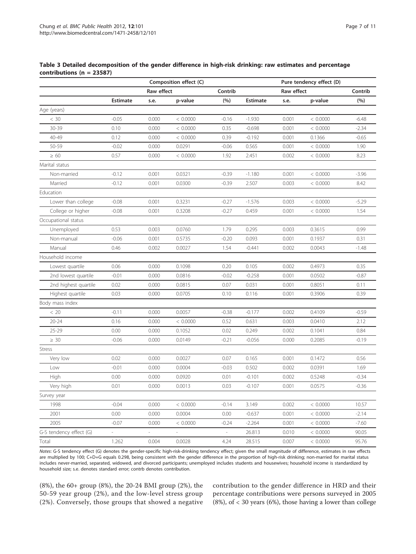<span id="page-6-0"></span>

| Table 3 Detailed decomposition of the gender difference in high-risk drinking: raw estimates and percentage |  |  |  |  |  |
|-------------------------------------------------------------------------------------------------------------|--|--|--|--|--|
| contributions ( $n = 23587$ )                                                                               |  |  |  |  |  |

|                         |                          |                          | Composition effect (C)   |                          |                 |            | Pure tendency effect (D) |         |
|-------------------------|--------------------------|--------------------------|--------------------------|--------------------------|-----------------|------------|--------------------------|---------|
|                         |                          | Raw effect               |                          | Contrib                  |                 | Raw effect |                          | Contrib |
|                         | <b>Estimate</b>          | s.e.                     | p-value                  | (%)                      | <b>Estimate</b> | s.e.       | p-value                  | (%)     |
| Age (years)             |                          |                          |                          |                          |                 |            |                          |         |
| $< 30$                  | $-0.05$                  | 0.000                    | < 0.0000                 | $-0.16$                  | $-1.930$        | 0.001      | < 0.0000                 | $-6.48$ |
| 30-39                   | 0.10                     | 0.000                    | < 0.0000                 | 0.35                     | $-0.698$        | 0.001      | < 0.0000                 | $-2.34$ |
| 40-49                   | 0.12                     | 0.000                    | < 0.0000                 | 0.39                     | $-0.192$        | 0.001      | 0.1366                   | $-0.65$ |
| 50-59                   | $-0.02$                  | 0.000                    | 0.0291                   | $-0.06$                  | 0.565           | 0.001      | < 0.0000                 | 1.90    |
| $\geq 60$               | 0.57                     | 0.000                    | < 0.0000                 | 1.92                     | 2.451           | 0.002      | < 0.0000                 | 8.23    |
| Marital status          |                          |                          |                          |                          |                 |            |                          |         |
| Non-married             | $-0.12$                  | 0.001                    | 0.0321                   | $-0.39$                  | $-1.180$        | 0.001      | < 0.0000                 | $-3.96$ |
| Married                 | $-0.12$                  | 0.001                    | 0.0300                   | $-0.39$                  | 2.507           | 0.003      | < 0.0000                 | 8.42    |
| Education               |                          |                          |                          |                          |                 |            |                          |         |
| Lower than college      | $-0.08$                  | 0.001                    | 0.3231                   | $-0.27$                  | $-1.576$        | 0.003      | < 0.0000                 | $-5.29$ |
| College or higher       | $-0.08$                  | 0.001                    | 0.3208                   | $-0.27$                  | 0.459           | 0.001      | < 0.0000                 | 1.54    |
| Occupational status     |                          |                          |                          |                          |                 |            |                          |         |
| Unemployed              | 0.53                     | 0.003                    | 0.0760                   | 1.79                     | 0.295           | 0.003      | 0.3615                   | 0.99    |
| Non-manual              | $-0.06$                  | 0.001                    | 0.5735                   | $-0.20$                  | 0.093           | 0.001      | 0.1937                   | 0.31    |
| Manual                  | 0.46                     | 0.002                    | 0.0027                   | 1.54                     | $-0.441$        | 0.002      | 0.0043                   | $-1.48$ |
| Household income        |                          |                          |                          |                          |                 |            |                          |         |
| Lowest quartile         | 0.06                     | 0.000                    | 0.1098                   | 0.20                     | 0.105           | 0.002      | 0.4973                   | 0.35    |
| 2nd lowest quartile     | $-0.01$                  | 0.000                    | 0.0816                   | $-0.02$                  | $-0.258$        | 0.001      | 0.0502                   | $-0.87$ |
| 2nd highest quartile    | 0.02                     | 0.000                    | 0.0815                   | 0.07                     | 0.031           | 0.001      | 0.8051                   | 0.11    |
| Highest quartile        | 0.03                     | 0.000                    | 0.0705                   | 0.10                     | 0.116           | 0.001      | 0.3906                   | 0.39    |
| Body mass index         |                          |                          |                          |                          |                 |            |                          |         |
| < 20                    | $-0.11$                  | 0.000                    | 0.0057                   | $-0.38$                  | $-0.177$        | 0.002      | 0.4109                   | $-0.59$ |
| $20 - 24$               | 0.16                     | 0.000                    | < 0.0000                 | 0.52                     | 0.631           | 0.003      | 0.0410                   | 2.12    |
| 25-29                   | 0.00                     | 0.000                    | 0.1052                   | 0.02                     | 0.249           | 0.002      | 0.1041                   | 0.84    |
| $\geq 30$               | $-0.06$                  | 0.000                    | 0.0149                   | $-0.21$                  | $-0.056$        | 0.000      | 0.2085                   | $-0.19$ |
| <b>Stress</b>           |                          |                          |                          |                          |                 |            |                          |         |
| Very low                | 0.02                     | 0.000                    | 0.0027                   | 0.07                     | 0.165           | 0.001      | 0.1472                   | 0.56    |
| Low                     | $-0.01$                  | 0.000                    | 0.0004                   | $-0.03$                  | 0.502           | 0.002      | 0.0391                   | 1.69    |
| High                    | 0.00                     | 0.000                    | 0.0920                   | 0.01                     | $-0.101$        | 0.002      | 0.5248                   | $-0.34$ |
| Very high               | 0.01                     | 0.000                    | 0.0013                   | 0.03                     | $-0.107$        | 0.001      | 0.0575                   | $-0.36$ |
| Survey year             |                          |                          |                          |                          |                 |            |                          |         |
| 1998                    | $-0.04$                  | 0.000                    | < 0.0000                 | $-0.14$                  | 3.149           | 0.002      | < 0.0000                 | 10.57   |
| 2001                    | 0.00                     | 0.000                    | 0.0004                   | 0.00                     | $-0.637$        | 0.001      | < 0.0000                 | $-2.14$ |
| 2005                    | $-0.07$                  | 0.000                    | < 0.0000                 | $-0.24$                  | $-2.264$        | 0.001      | < 0.0000                 | $-7.60$ |
| G-S tendency effect (G) | $\overline{\phantom{a}}$ | $\overline{\phantom{a}}$ | $\overline{\phantom{a}}$ | $\overline{\phantom{a}}$ | 26.813          | 0.010      | < 0.0000                 | 90.05   |
| Total                   | 1.262                    | 0.004                    | 0.0028                   | 4.24                     | 28.515          | 0.007      | < 0.0000                 | 95.76   |

Notes: G-S tendency effect (G) denotes the gender-specific high-risk-drinking tendency effect; given the small magnitude of difference, estimates in raw effects are multiplied by 100; C+D+G equals 0.298, being consistent with the gender difference in the proportion of high-risk drinking; non-married for marital status includes never-married, separated, widowed, and divorced participants; unemployed includes students and housewives; household income is standardized by household size; s.e. denotes standard error; contrb denotes contribution.

(8%), the 60+ group (8%), the 20-24 BMI group (2%), the 50-59 year group (2%), and the low-level stress group (2%). Conversely, those groups that showed a negative contribution to the gender difference in HRD and their percentage contributions were persons surveyed in 2005 (8%), of < 30 years (6%), those having a lower than college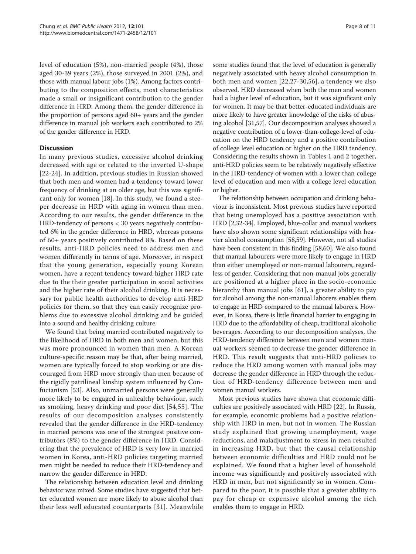level of education (5%), non-married people (4%), those aged 30-39 years (2%), those surveyed in 2001 (2%), and those with manual labour jobs (1%). Among factors contributing to the composition effects, most characteristics made a small or insignificant contribution to the gender difference in HRD. Among them, the gender difference in the proportion of persons aged 60+ years and the gender difference in manual job workers each contributed to 2% of the gender difference in HRD.

## **Discussion**

In many previous studies, excessive alcohol drinking decreased with age or related to the inverted U-shape [[22-24\]](#page-9-0). In addition, previous studies in Russian showed that both men and women had a tendency toward lower frequency of drinking at an older age, but this was significant only for women [\[18](#page-9-0)]. In this study, we found a steeper decrease in HRD with aging in women than men. According to our results, the gender difference in the HRD-tendency of persons < 30 years negatively contributed 6% in the gender difference in HRD, whereas persons of 60+ years positively contributed 8%. Based on these results, anti-HRD policies need to address men and women differently in terms of age. Moreover, in respect that the young generation, especially young Korean women, have a recent tendency toward higher HRD rate due to the their greater participation in social activities and the higher rate of their alcohol drinking. It is necessary for public health authorities to develop anti-HRD policies for them, so that they can easily recognize problems due to excessive alcohol drinking and be guided into a sound and healthy drinking culture.

We found that being married contributed negatively to the likelihood of HRD in both men and women, but this was more pronounced in women than men. A Korean culture-specific reason may be that, after being married, women are typically forced to stop working or are discouraged from HRD more strongly than men because of the rigidly patrilineal kinship system influenced by Confucianism [[53](#page-10-0)]. Also, unmarried persons were generally more likely to be engaged in unhealthy behaviour, such as smoking, heavy drinking and poor diet [[54](#page-10-0),[55\]](#page-10-0). The results of our decomposition analyses consistently revealed that the gender difference in the HRD-tendency in married persons was one of the strongest positive contributors (8%) to the gender difference in HRD. Considering that the prevalence of HRD is very low in married women in Korea, anti-HRD policies targeting married men might be needed to reduce their HRD-tendency and narrow the gender difference in HRD.

The relationship between education level and drinking behavior was mixed. Some studies have suggested that better educated women are more likely to abuse alcohol than their less well educated counterparts [[31](#page-10-0)]. Meanwhile some studies found that the level of education is generally negatively associated with heavy alcohol consumption in both men and women [[22,27](#page-9-0)-[30,56](#page-10-0)], a tendency we also observed. HRD decreased when both the men and women had a higher level of education, but it was significant only for women. It may be that better-educated individuals are more likely to have greater knowledge of the risks of abusing alcohol [[31,57](#page-10-0)]. Our decomposition analyses showed a negative contribution of a lower-than-college-level of education on the HRD tendency and a positive contribution of college level education or higher on the HRD tendency. Considering the results shown in Tables 1 and 2 together, anti-HRD policies seem to be relatively negatively effective in the HRD-tendency of women with a lower than college level of education and men with a college level education or higher.

The relationship between occupation and drinking behaviour is inconsistent. Most previous studies have reported that being unemployed has a positive association with HRD [[2,](#page-9-0)[32](#page-10-0)-[34](#page-10-0)]. Employed, blue-collar and manual workers have also shown some significant relationships with heavier alcohol consumption [[58,59\]](#page-10-0). However, not all studies have been consistent in this finding [\[58,60](#page-10-0)]. We also found that manual labourers were more likely to engage in HRD than either unemployed or non-manual labourers, regardless of gender. Considering that non-manual jobs generally are positioned at a higher place in the socio-economic hierarchy than manual jobs [[61\]](#page-10-0), a greater ability to pay for alcohol among the non-manual laborers enables them to engage in HRD compared to the manual laborers. However, in Korea, there is little financial barrier to engaging in HRD due to the affordability of cheap, traditional alcoholic beverages. According to our decomposition analyses, the HRD-tendency difference between men and women manual workers seemed to decrease the gender difference in HRD. This result suggests that anti-HRD policies to reduce the HRD among women with manual jobs may decrease the gender difference in HRD through the reduction of HRD-tendency difference between men and women manual workers.

Most previous studies have shown that economic difficulties are positively associated with HRD [\[22\]](#page-9-0). In Russia, for example, economic problems had a positive relationship with HRD in men, but not in women. The Russian study explained that growing unemployment, wage reductions, and maladjustment to stress in men resulted in increasing HRD, but that the causal relationship between economic difficulties and HRD could not be explained. We found that a higher level of household income was significantly and positively associated with HRD in men, but not significantly so in women. Compared to the poor, it is possible that a greater ability to pay for cheap or expensive alcohol among the rich enables them to engage in HRD.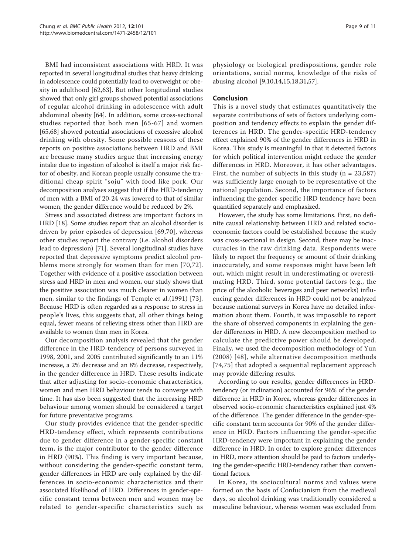BMI had inconsistent associations with HRD. It was reported in several longitudinal studies that heavy drinking in adolescence could potentially lead to overweight or obesity in adulthood [\[62,63\]](#page-10-0). But other longitudinal studies showed that only girl groups showed potential associations of regular alcohol drinking in adolescence with adult abdominal obesity [\[64](#page-10-0)]. In addition, some cross-sectional studies reported that both men [[65-67](#page-10-0)] and women [[65,68\]](#page-10-0) showed potential associations of excessive alcohol drinking with obesity. Some possible reasons of these reports on positive associations between HRD and BMI are because many studies argue that increasing energy intake due to ingestion of alcohol is itself a major risk factor of obesity, and Korean people usually consume the traditional cheap spirit "soju" with food like pork. Our decomposition analyses suggest that if the HRD-tendency of men with a BMI of 20-24 was lowered to that of similar women, the gender difference would be reduced by 2%.

Stress and associated distress are important factors in HRD [\[18](#page-9-0)]. Some studies report that an alcohol disorder is driven by prior episodes of depression [\[69,70](#page-10-0)], whereas other studies report the contrary (i.e. alcohol disorders lead to depression) [[71](#page-10-0)]. Several longitudinal studies have reported that depressive symptoms predict alcohol problems more strongly for women than for men [[70](#page-10-0),[72](#page-10-0)]. Together with evidence of a positive association between stress and HRD in men and women, our study shows that the positive association was much clearer in women than men, similar to the findings of Temple et al.(1991) [[73](#page-10-0)]. Because HRD is often regarded as a response to stress in people's lives, this suggests that, all other things being equal, fewer means of relieving stress other than HRD are available to women than men in Korea.

Our decomposition analysis revealed that the gender difference in the HRD-tendency of persons surveyed in 1998, 2001, and 2005 contributed significantly to an 11% increase, a 2% decrease and an 8% decrease, respectively, in the gender difference in HRD. These results indicate that after adjusting for socio-economic characteristics, women and men HRD behaviour tends to converge with time. It has also been suggested that the increasing HRD behaviour among women should be considered a target for future preventative programs.

Our study provides evidence that the gender-specific HRD-tendency effect, which represents contributions due to gender difference in a gender-specific constant term, is the major contributor to the gender difference in HRD (90%). This finding is very important because, without considering the gender-specific constant term, gender differences in HRD are only explained by the differences in socio-economic characteristics and their associated likelihood of HRD. Differences in gender-specific constant terms between men and women may be related to gender-specific characteristics such as physiology or biological predispositions, gender role orientations, social norms, knowledge of the risks of abusing alcohol [[9,10,14](#page-9-0),[15,18](#page-9-0)[,31,57](#page-10-0)].

## Conclusion

This is a novel study that estimates quantitatively the separate contributions of sets of factors underlying composition and tendency effects to explain the gender differences in HRD. The gender-specific HRD-tendency effect explained 90% of the gender differences in HRD in Korea. This study is meaningful in that it detected factors for which political intervention might reduce the gender differences in HRD. Moreover, it has other advantages. First, the number of subjects in this study  $(n = 23,587)$ was sufficiently large enough to be representative of the national population. Second, the importance of factors influencing the gender-specific HRD tendency have been quantified separately and emphasized.

However, the study has some limitations. First, no definite causal relationship between HRD and related socioeconomic factors could be established because the study was cross-sectional in design. Second, there may be inaccuracies in the raw drinking data. Respondents were likely to report the frequency or amount of their drinking inaccurately, and some responses might have been left out, which might result in underestimating or overestimating HRD. Third, some potential factors (e.g., the price of the alcoholic beverages and peer networks) influencing gender differences in HRD could not be analyzed because national surveys in Korea have no detailed information about them. Fourth, it was impossible to report the share of observed components in explaining the gender differences in HRD. A new decomposition method to calculate the predictive power should be developed. Finally, we used the decomposition methodology of Yun (2008) [[48\]](#page-10-0), while alternative decomposition methods [[74,75](#page-10-0)] that adopted a sequential replacement approach may provide differing results.

According to our results, gender differences in HRDtendency (or inclination) accounted for 96% of the gender difference in HRD in Korea, whereas gender differences in observed socio-economic characteristics explained just 4% of the difference. The gender difference in the gender-specific constant term accounts for 90% of the gender difference in HRD. Factors influencing the gender-specific HRD-tendency were important in explaining the gender difference in HRD. In order to explore gender differences in HRD, more attention should be paid to factors underlying the gender-specific HRD-tendency rather than conventional factors.

In Korea, its sociocultural norms and values were formed on the basis of Confucianism from the medieval days, so alcohol drinking was traditionally considered a masculine behaviour, whereas women was excluded from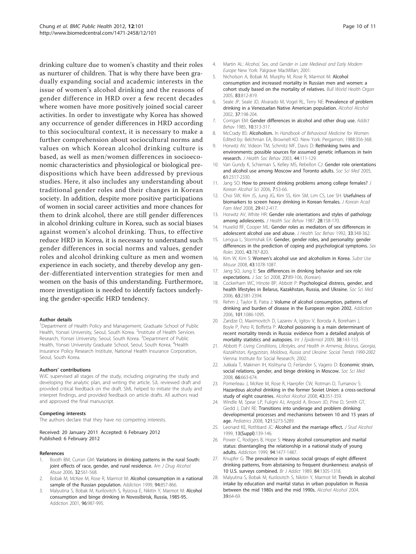<span id="page-9-0"></span>drinking culture due to women's chastity and their roles as nurturer of children. That is why there have been gradually expanding social and academic interests in the issue of women's alcohol drinking and the reasons of gender difference in HRD over a few recent decades where women have more positively joined social career activities. In order to investigate why Korea has showed any occurrence of gender differences in HRD according to this sociocultural context, it is necessary to make a further comprehension about sociocultural norms and values on which Korean alcohol drinking culture is based, as well as men/women differences in socioeconomic characteristics and physiological or biological predispositions which have been addressed by previous studies. Here, it also includes any understanding about traditional gender roles and their changes in Korean society. In addition, despite more positive participations of women in social career activities and more chances for them to drink alcohol, there are still gender differences in alcohol drinking culture in Korea, such as social biases against women's alcohol drinking. Thus, to effective reduce HRD in Korea, it is necessary to understand such gender differences in social norms and values, gender roles and alcohol drinking culture as men and women experience in each society, and thereby develop any gender-differentiated intervention strategies for men and women on the basis of this understanding. Furthermore, more investigation is needed to identify factors underlying the gender-specific HRD tendency.

#### Author details

<sup>1</sup>Department of Health Policy and Management, Graduate School of Public Health, Yonsei University, Seoul, South Korea. <sup>2</sup>Institute of Health Services Research, Yonsei University, Seoul, South Korea. <sup>3</sup>Department of Public Health, Yonsei University Graduate School, Seoul, South Korea. <sup>4</sup>Health Insurance Policy Research Institute, National Health Insurance Corporation, Seoul, South Korea.

#### Authors' contributions

WJC supervised all stages of the study, including originating the study and developing the analytic plan, and writing the article. SJL reviewed draft and provided critical feedback on the draft. SML helped to initiate the study and interpret findings, and provided feedback on article drafts. All authors read and approved the final manuscript.

#### Competing interests

The authors declare that they have no competing interests.

#### Received: 20 January 2011 Accepted: 6 February 2012 Published: 6 February 2012

#### References

- 1. Booth BM, Curran GM: [Variations in drinking patterns in the rural South:](http://www.ncbi.nlm.nih.gov/pubmed/17127544?dopt=Abstract) [joint effects of race, gender, and rural residence.](http://www.ncbi.nlm.nih.gov/pubmed/17127544?dopt=Abstract) Am J Drug Alcohol Abuse 2006, 32:561-568.
- Bobak M, McKee M, Rose R, Marmot M: [Alcohol consumption in a national](http://www.ncbi.nlm.nih.gov/pubmed/10665075?dopt=Abstract) [sample of the Russian population.](http://www.ncbi.nlm.nih.gov/pubmed/10665075?dopt=Abstract) Addiction 1999, 94:857-866.
- Malyutina S, Bobak M, Kurilovitch S, Ryizova E, Nikitin Y, Marmot M: [Alcohol](http://www.ncbi.nlm.nih.gov/pubmed/11440608?dopt=Abstract) [consumption and binge drinking in Novosibirisk, Russia, 1985-95.](http://www.ncbi.nlm.nih.gov/pubmed/11440608?dopt=Abstract) Addiction 2001, 96:987-995.
- 4. Martin AL: Alcohol, Sex, and Gender in Late Medieval and Early Modern Europe New York: Palgrave MacMillan; 2001.
- 5. Nicholson A, Bobak M, Murphy M, Rose R, Marmot M: [Alcohol](http://www.ncbi.nlm.nih.gov/pubmed/16302037?dopt=Abstract) [consumption and increased mortality in Russian men and women: a](http://www.ncbi.nlm.nih.gov/pubmed/16302037?dopt=Abstract) [cohort study based on the mortality of relatives.](http://www.ncbi.nlm.nih.gov/pubmed/16302037?dopt=Abstract) Bull World Health Organ 2005, 83:812-819.
- 6. Seale JP, Seale JD, Alvarado M, Vogel RL, Terry NE: [Prevalence of problem](http://www.ncbi.nlm.nih.gov/pubmed/11912078?dopt=Abstract) [drinking in a Venezuelan Native American population.](http://www.ncbi.nlm.nih.gov/pubmed/11912078?dopt=Abstract) Alcohol Alcohol 2002, 37:198-204.
- 7. Corrigan EM: [Gender differences in alcohol and other drug use.](http://www.ncbi.nlm.nih.gov/pubmed/4083108?dopt=Abstract) Addict Behav 1985, 10:313-317.
- 8. McCrady BS: Alcoholism. In Handbook of Behavioral Medicine for Women. Edited by: Belchman EA, Brownell KO. New York: Pergamon; 1988:356-368.
- 9. Horwitz AV, Videon TM, Schmitz MF, Davis D: [Rethinking twins and](http://www.ncbi.nlm.nih.gov/pubmed/12866384?dopt=Abstract) [environments: possible sources for assumed genetic influences in twin](http://www.ncbi.nlm.nih.gov/pubmed/12866384?dopt=Abstract) [research.](http://www.ncbi.nlm.nih.gov/pubmed/12866384?dopt=Abstract) J Health Soc Behav 2003, 44:111-129.
- 10. Van Gundy K, Schieman S, Kelley MS, Rebellon CJ: [Gender role orientations](http://www.ncbi.nlm.nih.gov/pubmed/16139405?dopt=Abstract) [and alcohol use among Moscow and Toronto adults.](http://www.ncbi.nlm.nih.gov/pubmed/16139405?dopt=Abstract) Soc Sci Med 2005, 61:2317-2330.
- 11. Jang SO: How to prevent drinking problems among college females? J Korean Alcohol Sci 2006, 7:53-66.
- 12. Choi SW, Kim JS, Jung JG, Kim SS, Kim SM, Lim CS, Lee SH: Usefulness of biomarkers to screen heavy drinking in Korean females. J Korean Acad Fam Med 2008, 29:412-417.
- 13. Horwitz AV, White HR: [Gender role orientations and styles of pathology](http://www.ncbi.nlm.nih.gov/pubmed/3611702?dopt=Abstract) [among adolescents.](http://www.ncbi.nlm.nih.gov/pubmed/3611702?dopt=Abstract) J Health Soc Behav 1987, 28:158-170.
- 14. Huselid RF, Cooper ML: [Gender roles as mediators of sex differences in](http://www.ncbi.nlm.nih.gov/pubmed/1464719?dopt=Abstract) [adolescent alcohol use and abuse.](http://www.ncbi.nlm.nih.gov/pubmed/1464719?dopt=Abstract) *J Health Soc Behav* 1992, 33:348-362.
- 15. Lengua L, Stormshak EA: Gender, gender roles, and personality: gender differences in the prediction of coping and psychological symptoms. Sex Roles 2000, 43:787-820.
- 16. Kim W, Kim S: Women'[s alcohol use and alcoholism in Korea.](http://www.ncbi.nlm.nih.gov/pubmed/18649231?dopt=Abstract) Subst Use Misuse 2008, 43:1078-1087.
- 17. Jang SO, Jung E: Sex differences in drinking behavior and sex role expectations. J Soc Sci 2008, 27:89-106, (Korean).
- 18. Cockerham WC, Hinote BP, Abbott P: [Psychological distress, gender, and](http://www.ncbi.nlm.nih.gov/pubmed/16887246?dopt=Abstract) [health lifestyles in Belarus, Kazakhstan, Russia, and Ukraine.](http://www.ncbi.nlm.nih.gov/pubmed/16887246?dopt=Abstract) Soc Sci Med 2006, 63:2381-2394.
- 19. Rehm J, Taylor B, Patra J: [Volume of alcohol consumption, patterns of](http://www.ncbi.nlm.nih.gov/pubmed/16869838?dopt=Abstract) [drinking and burden of disease in the European region 2002.](http://www.ncbi.nlm.nih.gov/pubmed/16869838?dopt=Abstract) Addiction 2006, 101:1086-1095.
- 20. Zaridze D, Maximovitch D, Lazarev A, Igitov V, Boroda A, Boreham J, Boyle P, Peto R, Boffetta P: [Alcohol poisoning is a main determinant of](http://www.ncbi.nlm.nih.gov/pubmed/18775875?dopt=Abstract) [recent mortality trends in Russia: evidence from a detailed analysis of](http://www.ncbi.nlm.nih.gov/pubmed/18775875?dopt=Abstract) [mortality statistics and autopsies.](http://www.ncbi.nlm.nih.gov/pubmed/18775875?dopt=Abstract) Int J Epidemiol 2009, 38:143-153.
- 21. Abbott P: Living Conditions, Lifestyles, and Health in Armenia, Belarus, Georgia, Kazakhstan, Kyrgyzstan, Moldova, Russia and Ukraine: Social Trends 1990-2002 Vienna: Institute for Social Research; 2002.
- 22. Jukkala T, Makinen IH, Kislitsyna O, Ferlander S, Vagero D: [Economic strain,](http://www.ncbi.nlm.nih.gov/pubmed/18023952?dopt=Abstract) [social relations, gender, and binge drinking in Moscow.](http://www.ncbi.nlm.nih.gov/pubmed/18023952?dopt=Abstract) Soc Sci Med 2008, 66:663-674.
- 23. Pomerleau J, McKee M, Rose R, Haerpfer CW, Rotman D, Tumanov S: [Hazardous alcohol drinking in the former Soviet Union: a cross-sectional](http://www.ncbi.nlm.nih.gov/pubmed/18245818?dopt=Abstract) [study of eight countries.](http://www.ncbi.nlm.nih.gov/pubmed/18245818?dopt=Abstract) Alcohol Alcohol 2008, 43:351-359.
- 24. Windle M, Spear LP, Fuligni AJ, Angold A, Brown JD, Pine D, Smith GT, Giedd J, Dahl RE: [Transitions into underage and problem drinking:](http://www.ncbi.nlm.nih.gov/pubmed/18381494?dopt=Abstract) [developmental processes and mechanisms between 10 and 15 years of](http://www.ncbi.nlm.nih.gov/pubmed/18381494?dopt=Abstract) [age.](http://www.ncbi.nlm.nih.gov/pubmed/18381494?dopt=Abstract) Pediatrics 2008, 121:S273-S289.
- 25. Leonard KE, Rothbard JC: Alcohol and the marriage effect. J Stud Alcohol 1999, 13(Suppl):139-146.
- 26. Power C, Rodgers B, Hope S: [Heavy alcohol consumption and marital](http://www.ncbi.nlm.nih.gov/pubmed/10790900?dopt=Abstract) [status: disentangling the relationship in a national study of young](http://www.ncbi.nlm.nih.gov/pubmed/10790900?dopt=Abstract) [adults.](http://www.ncbi.nlm.nih.gov/pubmed/10790900?dopt=Abstract) Addiction 1999, 94:1477-1487.
- 27. Knupfer G: [The prevalence in various social groups of eight different](http://www.ncbi.nlm.nih.gov/pubmed/2597807?dopt=Abstract) [drinking patterns, from abstaining to frequent drunkenness: analysis of](http://www.ncbi.nlm.nih.gov/pubmed/2597807?dopt=Abstract) [10 U.S. surveys combined.](http://www.ncbi.nlm.nih.gov/pubmed/2597807?dopt=Abstract) Br J Addict 1989, 84:1305-1318.
- 28. Malyutina S, Bobak M, Kurilovitch S, Nikitin Y, Marmot M: [Trends in alcohol](http://www.ncbi.nlm.nih.gov/pubmed/14691077?dopt=Abstract) [intake by education and marital status in urban population in Russia](http://www.ncbi.nlm.nih.gov/pubmed/14691077?dopt=Abstract) [between the mid 1980s and the mid 1990s.](http://www.ncbi.nlm.nih.gov/pubmed/14691077?dopt=Abstract) Alcohol Alcohol 2004, 39:64-69.